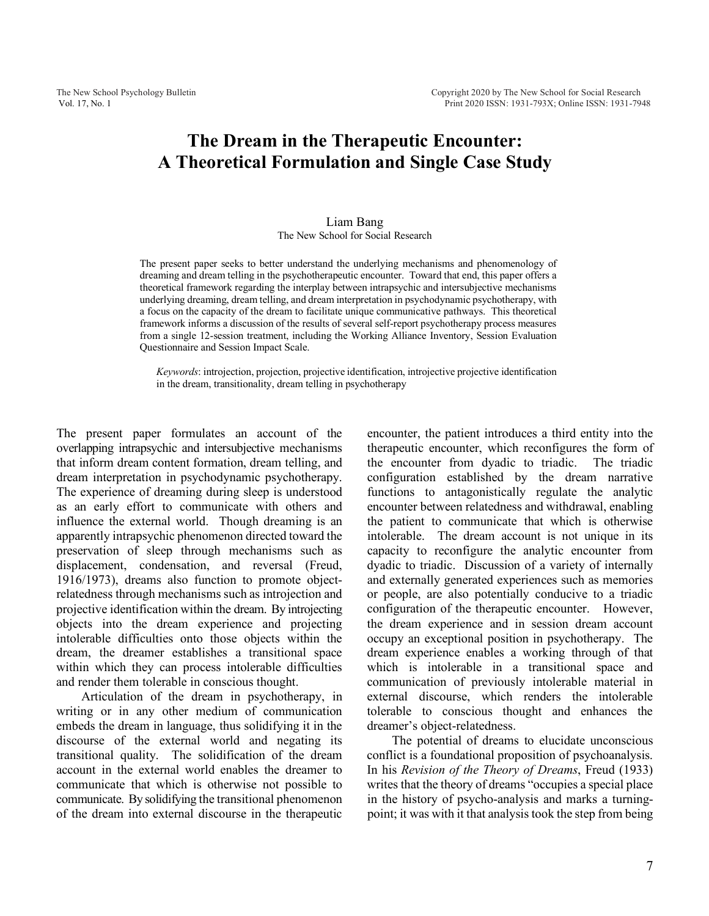# **The Dream in the Therapeutic Encounter: A Theoretical Formulation and Single Case Study**

## Liam Bang The New School for Social Research

The present paper seeks to better understand the underlying mechanisms and phenomenology of dreaming and dream telling in the psychotherapeutic encounter. Toward that end, this paper offers a theoretical framework regarding the interplay between intrapsychic and intersubjective mechanisms underlying dreaming, dream telling, and dream interpretation in psychodynamic psychotherapy, with a focus on the capacity of the dream to facilitate unique communicative pathways. This theoretical framework informs a discussion of the results of several self-report psychotherapy process measures from a single 12-session treatment, including the Working Alliance Inventory, Session Evaluation Questionnaire and Session Impact Scale.

*Keywords*: introjection, projection, projective identification, introjective projective identification in the dream, transitionality, dream telling in psychotherapy

The present paper formulates an account of the overlapping intrapsychic and intersubjective mechanisms that inform dream content formation, dream telling, and dream interpretation in psychodynamic psychotherapy. The experience of dreaming during sleep is understood as an early effort to communicate with others and influence the external world. Though dreaming is an apparently intrapsychic phenomenon directed toward the preservation of sleep through mechanisms such as displacement, condensation, and reversal (Freud, 1916/1973), dreams also function to promote objectrelatedness through mechanisms such as introjection and projective identification within the dream. By introjecting objects into the dream experience and projecting intolerable difficulties onto those objects within the dream, the dreamer establishes a transitional space within which they can process intolerable difficulties and render them tolerable in conscious thought.

Articulation of the dream in psychotherapy, in writing or in any other medium of communication embeds the dream in language, thus solidifying it in the discourse of the external world and negating its transitional quality. The solidification of the dream account in the external world enables the dreamer to communicate that which is otherwise not possible to communicate. By solidifying the transitional phenomenon of the dream into external discourse in the therapeutic

encounter, the patient introduces a third entity into the therapeutic encounter, which reconfigures the form of the encounter from dyadic to triadic. The triadic configuration established by the dream narrative functions to antagonistically regulate the analytic encounter between relatedness and withdrawal, enabling the patient to communicate that which is otherwise intolerable. The dream account is not unique in its capacity to reconfigure the analytic encounter from dyadic to triadic. Discussion of a variety of internally and externally generated experiences such as memories or people, are also potentially conducive to a triadic configuration of the therapeutic encounter. However, the dream experience and in session dream account occupy an exceptional position in psychotherapy. The dream experience enables a working through of that which is intolerable in a transitional space and communication of previously intolerable material in external discourse, which renders the intolerable tolerable to conscious thought and enhances the dreamer's object-relatedness.

The potential of dreams to elucidate unconscious conflict is a foundational proposition of psychoanalysis. In his *Revision of the Theory of Dreams*, Freud (1933) writes that the theory of dreams "occupies a special place in the history of psycho-analysis and marks a turningpoint; it was with it that analysis took the step from being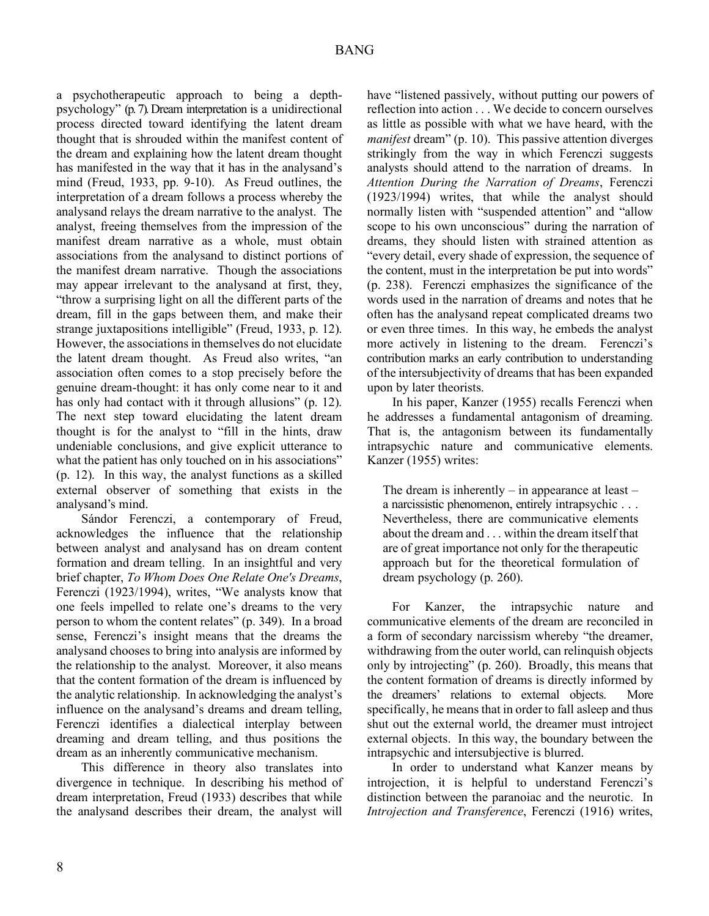a psychotherapeutic approach to being a depthpsychology" (p. 7).Dream interpretation is a unidirectional process directed toward identifying the latent dream thought that is shrouded within the manifest content of the dream and explaining how the latent dream thought has manifested in the way that it has in the analysand's mind (Freud, 1933, pp. 9-10). As Freud outlines, the interpretation of a dream follows a process whereby the analysand relays the dream narrative to the analyst. The analyst, freeing themselves from the impression of the manifest dream narrative as a whole, must obtain associations from the analysand to distinct portions of the manifest dream narrative. Though the associations may appear irrelevant to the analysand at first, they, "throw a surprising light on all the different parts of the dream, fill in the gaps between them, and make their strange juxtapositions intelligible" (Freud, 1933, p. 12). However, the associations in themselves do not elucidate the latent dream thought. As Freud also writes, "an association often comes to a stop precisely before the genuine dream-thought: it has only come near to it and has only had contact with it through allusions" (p. 12). The next step toward elucidating the latent dream thought is for the analyst to "fill in the hints, draw undeniable conclusions, and give explicit utterance to what the patient has only touched on in his associations" (p. 12). In this way, the analyst functions as a skilled external observer of something that exists in the analysand's mind.

Sándor Ferenczi, a contemporary of Freud, acknowledges the influence that the relationship between analyst and analysand has on dream content formation and dream telling. In an insightful and very brief chapter, *To Whom Does One Relate One's Dreams*, Ferenczi (1923/1994), writes, "We analysts know that one feels impelled to relate one's dreams to the very person to whom the content relates" (p. 349). In a broad sense, Ferenczi's insight means that the dreams the analysand chooses to bring into analysis are informed by the relationship to the analyst. Moreover, it also means that the content formation of the dream is influenced by the analytic relationship. In acknowledging the analyst's influence on the analysand's dreams and dream telling, Ferenczi identifies a dialectical interplay between dreaming and dream telling, and thus positions the dream as an inherently communicative mechanism.

This difference in theory also translates into divergence in technique. In describing his method of dream interpretation, Freud (1933) describes that while the analysand describes their dream, the analyst will have "listened passively, without putting our powers of reflection into action . . . We decide to concern ourselves as little as possible with what we have heard, with the *manifest* dream" (p. 10). This passive attention diverges strikingly from the way in which Ferenczi suggests analysts should attend to the narration of dreams. In *Attention During the Narration of Dreams*, Ferenczi (1923/1994) writes, that while the analyst should normally listen with "suspended attention" and "allow scope to his own unconscious" during the narration of dreams, they should listen with strained attention as "every detail, every shade of expression, the sequence of the content, must in the interpretation be put into words" (p. 238). Ferenczi emphasizes the significance of the words used in the narration of dreams and notes that he often has the analysand repeat complicated dreams two or even three times. In this way, he embeds the analyst more actively in listening to the dream. Ferenczi's contribution marks an early contribution to understanding of the intersubjectivity of dreams that has been expanded upon by later theorists.

In his paper, Kanzer (1955) recalls Ferenczi when he addresses a fundamental antagonism of dreaming. That is, the antagonism between its fundamentally intrapsychic nature and communicative elements. Kanzer (1955) writes:

The dream is inherently – in appearance at least – a narcissistic phenomenon, entirely intrapsychic . . . Nevertheless, there are communicative elements about the dream and . . . within the dream itself that are of great importance not only for the therapeutic approach but for the theoretical formulation of dream psychology (p. 260).

For Kanzer, the intrapsychic nature and communicative elements of the dream are reconciled in a form of secondary narcissism whereby "the dreamer, withdrawing from the outer world, can relinquish objects only by introjecting" (p. 260). Broadly, this means that the content formation of dreams is directly informed by the dreamers' relations to external objects. More specifically, he means that in order to fall asleep and thus shut out the external world, the dreamer must introject external objects. In this way, the boundary between the intrapsychic and intersubjective is blurred.

In order to understand what Kanzer means by introjection, it is helpful to understand Ferenczi's distinction between the paranoiac and the neurotic. In *Introjection and Transference*, Ferenczi (1916) writes,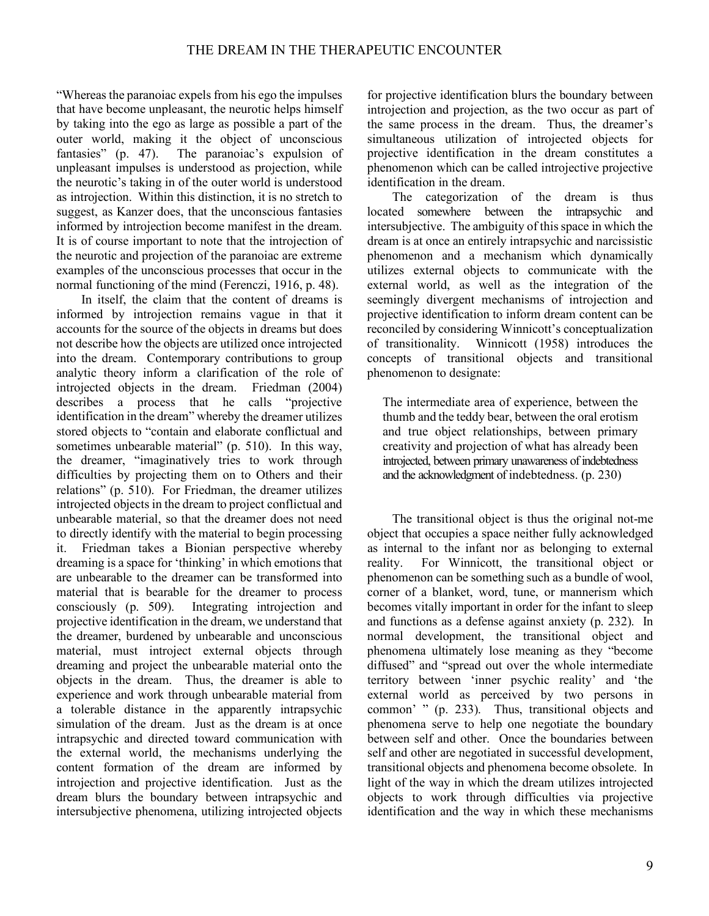"Whereas the paranoiac expels from his ego the impulses that have become unpleasant, the neurotic helps himself by taking into the ego as large as possible a part of the outer world, making it the object of unconscious fantasies" (p. 47). The paranoiac's expulsion of unpleasant impulses is understood as projection, while the neurotic's taking in of the outer world is understood as introjection. Within this distinction, it is no stretch to suggest, as Kanzer does, that the unconscious fantasies informed by introjection become manifest in the dream. It is of course important to note that the introjection of the neurotic and projection of the paranoiac are extreme examples of the unconscious processes that occur in the normal functioning of the mind (Ferenczi, 1916, p. 48).

In itself, the claim that the content of dreams is informed by introjection remains vague in that it accounts for the source of the objects in dreams but does not describe how the objects are utilized once introjected into the dream. Contemporary contributions to group analytic theory inform a clarification of the role of introjected objects in the dream. Friedman (2004) describes a process that he calls "projective identification in the dream" whereby the dreamer utilizes stored objects to "contain and elaborate conflictual and sometimes unbearable material" (p. 510). In this way, the dreamer, "imaginatively tries to work through difficulties by projecting them on to Others and their relations" (p. 510). For Friedman, the dreamer utilizes introjected objects in the dream to project conflictual and unbearable material, so that the dreamer does not need to directly identify with the material to begin processing it. Friedman takes a Bionian perspective whereby dreaming is a space for 'thinking' in which emotions that are unbearable to the dreamer can be transformed into material that is bearable for the dreamer to process consciously (p. 509). Integrating introjection and projective identification in the dream, we understand that the dreamer, burdened by unbearable and unconscious material, must introject external objects through dreaming and project the unbearable material onto the objects in the dream. Thus, the dreamer is able to experience and work through unbearable material from a tolerable distance in the apparently intrapsychic simulation of the dream. Just as the dream is at once intrapsychic and directed toward communication with the external world, the mechanisms underlying the content formation of the dream are informed by introjection and projective identification. Just as the dream blurs the boundary between intrapsychic and intersubjective phenomena, utilizing introjected objects for projective identification blurs the boundary between introjection and projection, as the two occur as part of the same process in the dream. Thus, the dreamer's simultaneous utilization of introjected objects for projective identification in the dream constitutes a phenomenon which can be called introjective projective identification in the dream.

The categorization of the dream is thus located somewhere between the intrapsychic and intersubjective. The ambiguity of this space in which the dream is at once an entirely intrapsychic and narcissistic phenomenon and a mechanism which dynamically utilizes external objects to communicate with the external world, as well as the integration of the seemingly divergent mechanisms of introjection and projective identification to inform dream content can be reconciled by considering Winnicott's conceptualization of transitionality. Winnicott (1958) introduces the concepts of transitional objects and transitional phenomenon to designate:

The intermediate area of experience, between the thumb and the teddy bear, between the oral erotism and true object relationships, between primary creativity and projection of what has already been introjected, between primary unawareness of indebtedness and the acknowledgment of indebtedness. (p. 230)

The transitional object is thus the original not-me object that occupies a space neither fully acknowledged as internal to the infant nor as belonging to external reality. For Winnicott, the transitional object or phenomenon can be something such as a bundle of wool, corner of a blanket, word, tune, or mannerism which becomes vitally important in order for the infant to sleep and functions as a defense against anxiety (p. 232). In normal development, the transitional object and phenomena ultimately lose meaning as they "become diffused" and "spread out over the whole intermediate territory between 'inner psychic reality' and 'the external world as perceived by two persons in common' " (p. 233). Thus, transitional objects and phenomena serve to help one negotiate the boundary between self and other. Once the boundaries between self and other are negotiated in successful development, transitional objects and phenomena become obsolete. In light of the way in which the dream utilizes introjected objects to work through difficulties via projective identification and the way in which these mechanisms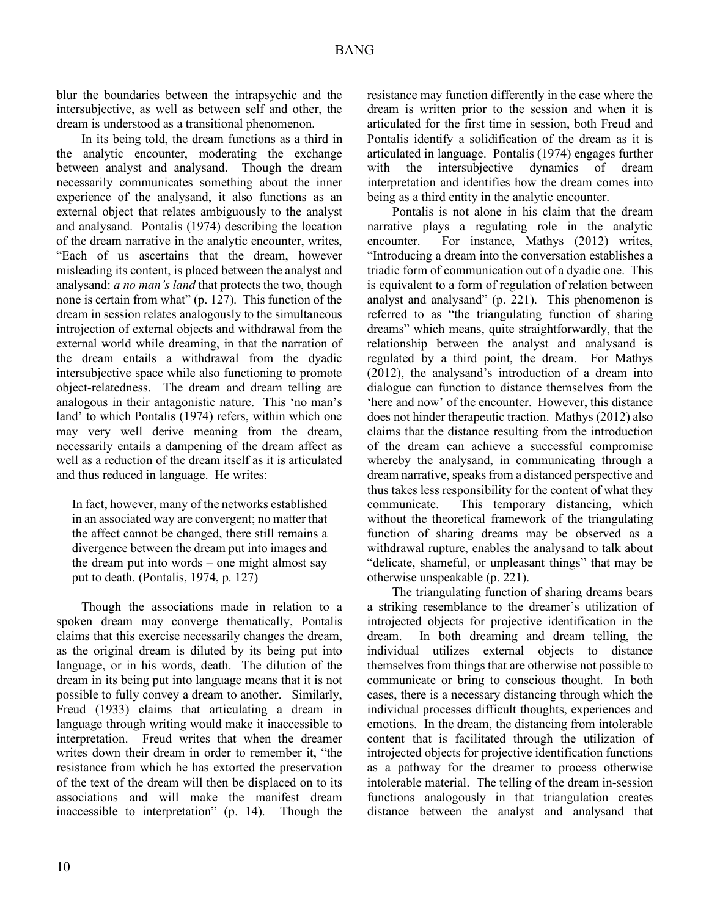blur the boundaries between the intrapsychic and the intersubjective, as well as between self and other, the dream is understood as a transitional phenomenon.

In its being told, the dream functions as a third in the analytic encounter, moderating the exchange between analyst and analysand. Though the dream necessarily communicates something about the inner experience of the analysand, it also functions as an external object that relates ambiguously to the analyst and analysand. Pontalis (1974) describing the location of the dream narrative in the analytic encounter, writes, "Each of us ascertains that the dream, however misleading its content, is placed between the analyst and analysand: *a no man's land* that protects the two, though none is certain from what" (p. 127). This function of the dream in session relates analogously to the simultaneous introjection of external objects and withdrawal from the external world while dreaming, in that the narration of the dream entails a withdrawal from the dyadic intersubjective space while also functioning to promote object-relatedness. The dream and dream telling are analogous in their antagonistic nature. This 'no man's land' to which Pontalis (1974) refers, within which one may very well derive meaning from the dream, necessarily entails a dampening of the dream affect as well as a reduction of the dream itself as it is articulated and thus reduced in language. He writes:

In fact, however, many of the networks established in an associated way are convergent; no matter that the affect cannot be changed, there still remains a divergence between the dream put into images and the dream put into words – one might almost say put to death. (Pontalis, 1974, p. 127)

Though the associations made in relation to a spoken dream may converge thematically, Pontalis claims that this exercise necessarily changes the dream, as the original dream is diluted by its being put into language, or in his words, death. The dilution of the dream in its being put into language means that it is not possible to fully convey a dream to another. Similarly, Freud (1933) claims that articulating a dream in language through writing would make it inaccessible to interpretation. Freud writes that when the dreamer writes down their dream in order to remember it, "the resistance from which he has extorted the preservation of the text of the dream will then be displaced on to its associations and will make the manifest dream inaccessible to interpretation" (p. 14). Though the resistance may function differently in the case where the dream is written prior to the session and when it is articulated for the first time in session, both Freud and Pontalis identify a solidification of the dream as it is articulated in language. Pontalis (1974) engages further with the intersubjective dynamics of dream interpretation and identifies how the dream comes into being as a third entity in the analytic encounter.

Pontalis is not alone in his claim that the dream narrative plays a regulating role in the analytic encounter. For instance, Mathys (2012) writes, "Introducing a dream into the conversation establishes a triadic form of communication out of a dyadic one. This is equivalent to a form of regulation of relation between analyst and analysand" (p. 221). This phenomenon is referred to as "the triangulating function of sharing dreams" which means, quite straightforwardly, that the relationship between the analyst and analysand is regulated by a third point, the dream. For Mathys (2012), the analysand's introduction of a dream into dialogue can function to distance themselves from the 'here and now' of the encounter. However, this distance does not hinder therapeutic traction. Mathys (2012) also claims that the distance resulting from the introduction of the dream can achieve a successful compromise whereby the analysand, in communicating through a dream narrative, speaks from a distanced perspective and thus takes less responsibility for the content of what they communicate. This temporary distancing, which without the theoretical framework of the triangulating function of sharing dreams may be observed as a withdrawal rupture, enables the analysand to talk about "delicate, shameful, or unpleasant things" that may be otherwise unspeakable (p. 221).

The triangulating function of sharing dreams bears a striking resemblance to the dreamer's utilization of introjected objects for projective identification in the dream. In both dreaming and dream telling, the individual utilizes external objects to distance themselves from things that are otherwise not possible to communicate or bring to conscious thought. In both cases, there is a necessary distancing through which the individual processes difficult thoughts, experiences and emotions. In the dream, the distancing from intolerable content that is facilitated through the utilization of introjected objects for projective identification functions as a pathway for the dreamer to process otherwise intolerable material. The telling of the dream in-session functions analogously in that triangulation creates distance between the analyst and analysand that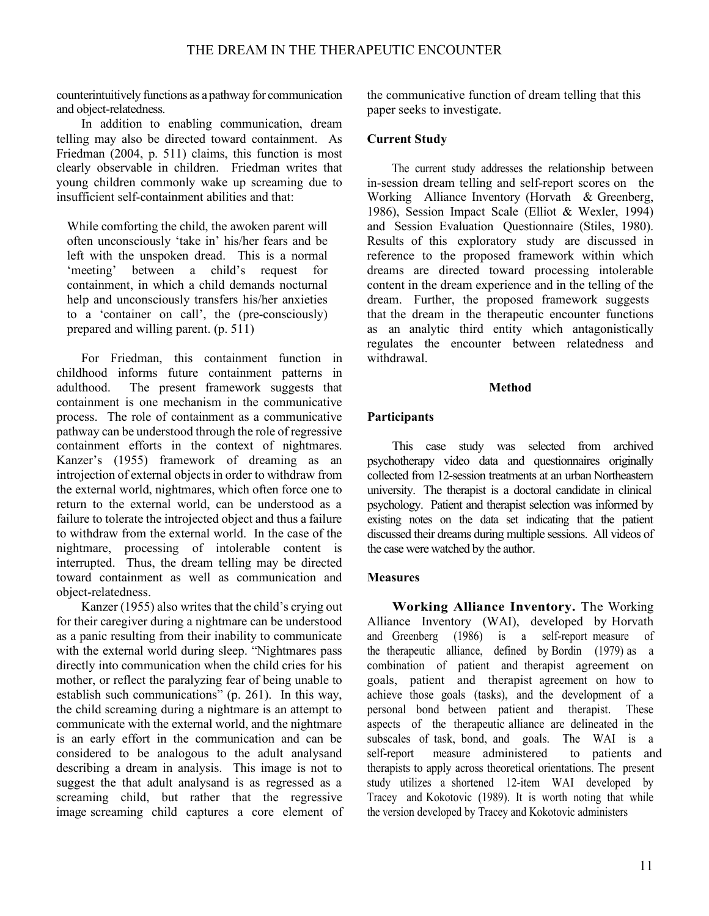counterintuitively functions as a pathway for communication and object-relatedness.

In addition to enabling communication, dream telling may also be directed toward containment. As Friedman (2004, p. 511) claims, this function is most clearly observable in children. Friedman writes that young children commonly wake up screaming due to insufficient self-containment abilities and that:

While comforting the child, the awoken parent will often unconsciously 'take in' his/her fears and be left with the unspoken dread. This is a normal 'meeting' between a child's request for containment, in which a child demands nocturnal help and unconsciously transfers his/her anxieties to a 'container on call', the (pre-consciously) prepared and willing parent. (p. 511)

For Friedman, this containment function in childhood informs future containment patterns in adulthood. The present framework suggests that containment is one mechanism in the communicative process. The role of containment as a communicative pathway can be understood through the role of regressive containment efforts in the context of nightmares. Kanzer's (1955) framework of dreaming as an introjection of external objects in order to withdraw from the external world, nightmares, which often force one to return to the external world, can be understood as a failure to tolerate the introjected object and thus a failure to withdraw from the external world. In the case of the nightmare, processing of intolerable content is interrupted. Thus, the dream telling may be directed toward containment as well as communication and object-relatedness.

Kanzer (1955) also writes that the child's crying out for their caregiver during a nightmare can be understood as a panic resulting from their inability to communicate with the external world during sleep. "Nightmares pass directly into communication when the child cries for his mother, or reflect the paralyzing fear of being unable to establish such communications" (p. 261). In this way, the child screaming during a nightmare is an attempt to communicate with the external world, and the nightmare is an early effort in the communication and can be considered to be analogous to the adult analysand describing a dream in analysis. This image is not to suggest the that adult analysand is as regressed as a screaming child, but rather that the regressive image screaming child captures a core element of the communicative function of dream telling that this paper seeks to investigate.

# **Current Study**

The current study addresses the relationship between in-session dream telling and self-report scores on the Working Alliance Inventory (Horvath & Greenberg, 1986), Session Impact Scale (Elliot & Wexler, 1994) and Session Evaluation Questionnaire (Stiles, 1980). Results of this exploratory study are discussed in reference to the proposed framework within which dreams are directed toward processing intolerable content in the dream experience and in the telling of the dream. Further, the proposed framework suggests that the dream in the therapeutic encounter functions as an analytic third entity which antagonistically regulates the encounter between relatedness and withdrawal.

## **Method**

# **Participants**

This case study was selected from archived psychotherapy video data and questionnaires originally collected from 12-session treatments at an urban Northeastern university. The therapist is a doctoral candidate in clinical psychology. Patient and therapist selection was informed by existing notes on the data set indicating that the patient discussed their dreams during multiple sessions. All videos of the case were watched by the author.

# **Measures**

**Working Alliance Inventory.** The Working Alliance Inventory (WAI), developed by Horvath and Greenberg (1986) is a self-report measure of the therapeutic alliance, defined by Bordin (1979) as a combination of patient and therapist agreement on goals, patient and therapist agreement on how to achieve those goals (tasks), and the development of a personal bond between patient and therapist. These aspects of the therapeutic alliance are delineated in the subscales of task, bond, and goals. The WAI is a self-report measure administered to patients and therapists to apply across theoretical orientations. The present study utilizes a shortened 12-item WAI developed by Tracey and Kokotovic (1989). It is worth noting that while the version developed by Tracey and Kokotovic administers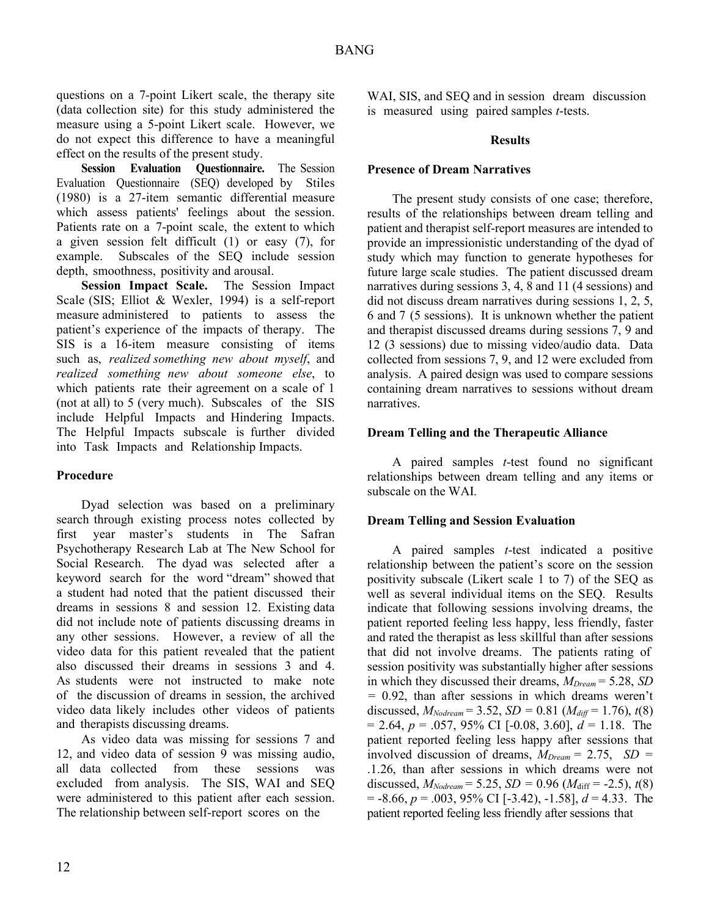questions on a 7-point Likert scale, the therapy site (data collection site) for this study administered the measure using a 5-point Likert scale. However, we do not expect this difference to have a meaningful effect on the results of the present study.

**Session Evaluation Questionnaire.** The Session Evaluation Questionnaire (SEQ) developed by Stiles (1980) is a 27-item semantic differential measure which assess patients' feelings about the session. Patients rate on a 7-point scale, the extent to which a given session felt difficult (1) or easy (7), for example. Subscales of the SEQ include session depth, smoothness, positivity and arousal.

**Session Impact Scale.** The Session Impact Scale (SIS; Elliot & Wexler, 1994) is a self-report measure administered to patients to assess the patient's experience of the impacts of therapy. The SIS is a 16-item measure consisting of items such as, *realized something new about myself*, and *realized something new about someone else*, to which patients rate their agreement on a scale of 1 (not at all) to 5 (very much). Subscales of the SIS include Helpful Impacts and Hindering Impacts. The Helpful Impacts subscale is further divided into Task Impacts and Relationship Impacts.

# **Procedure**

Dyad selection was based on a preliminary search through existing process notes collected by first year master's students in The Safran Psychotherapy Research Lab at The New School for Social Research. The dyad was selected after a keyword search for the word "dream" showed that a student had noted that the patient discussed their dreams in sessions 8 and session 12. Existing data did not include note of patients discussing dreams in any other sessions. However, a review of all the video data for this patient revealed that the patient also discussed their dreams in sessions 3 and 4. As students were not instructed to make note of the discussion of dreams in session, the archived video data likely includes other videos of patients and therapists discussing dreams.

As video data was missing for sessions 7 and 12, and video data of session 9 was missing audio, all data collected from these sessions was excluded from analysis. The SIS, WAI and SEQ were administered to this patient after each session. The relationship between self-report scores on the

WAI, SIS, and SEQ and in session dream discussion is measured using paired samples *t*-tests.

## **Results**

## **Presence of Dream Narratives**

The present study consists of one case; therefore, results of the relationships between dream telling and patient and therapist self-report measures are intended to provide an impressionistic understanding of the dyad of study which may function to generate hypotheses for future large scale studies. The patient discussed dream narratives during sessions 3, 4, 8 and 11 (4 sessions) and did not discuss dream narratives during sessions 1, 2, 5, 6 and 7 (5 sessions). It is unknown whether the patient and therapist discussed dreams during sessions 7, 9 and 12 (3 sessions) due to missing video/audio data. Data collected from sessions 7, 9, and 12 were excluded from analysis. A paired design was used to compare sessions containing dream narratives to sessions without dream narratives.

#### **Dream Telling and the Therapeutic Alliance**

A paired samples *t*-test found no significant relationships between dream telling and any items or subscale on the WAI.

#### **Dream Telling and Session Evaluation**

A paired samples *t*-test indicated a positive relationship between the patient's score on the session positivity subscale (Likert scale 1 to 7) of the SEQ as well as several individual items on the SEQ. Results indicate that following sessions involving dreams, the patient reported feeling less happy, less friendly, faster and rated the therapist as less skillful than after sessions that did not involve dreams. The patients rating of session positivity was substantially higher after sessions in which they discussed their dreams, *MDream* = 5.28, *SD =* 0.92, than after sessions in which dreams weren't discussed,  $M_{Nodream} = 3.52$ ,  $SD = 0.81$  ( $M_{diff} = 1.76$ ),  $t(8)$ = 2.64, *p* = .057, 95% CI [-0.08, 3.60], *d* = 1.18. The patient reported feeling less happy after sessions that involved discussion of dreams, *MDream* = 2.75, *SD =*  .1.26, than after sessions in which dreams were not discussed,  $M_{Nodream} = 5.25$ ,  $SD = 0.96$  ( $M_{diff} = -2.5$ ),  $t(8)$ = -8.66, *p* = .003, 95% CI [-3.42), -1.58], *d* = 4.33. The patient reported feeling less friendly after sessions that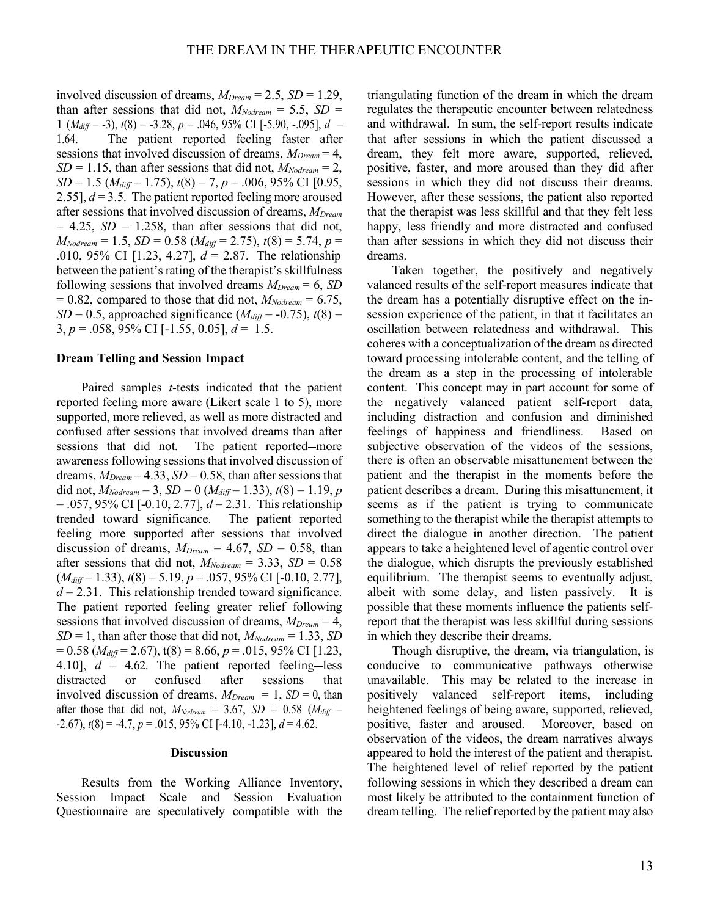involved discussion of dreams, *MDream* = 2.5, *SD* = 1.29, than after sessions that did not,  $M_{Noderam} = 5.5$ ,  $SD =$ 1 (*Mdiff* = -3), *t*(8) = -3.28, *p* = .046, 95% CI [-5.90, -.095], *d* = 1.64. The patient reported feeling faster after sessions that involved discussion of dreams, *MDream* = 4,  $SD = 1.15$ , than after sessions that did not,  $M_{Noderam} = 2$ , *SD* = 1.5 (*Mdiff* = 1.75), *t*(8) = 7, *p* = .006, 95% CI [0.95, 2.55],  $d = 3.5$ . The patient reported feeling more aroused after sessions that involved discussion of dreams, *MDream*  $= 4.25$ ,  $SD = 1.258$ , than after sessions that did not,  $M_{Nodream} = 1.5$ ,  $SD = 0.58$  ( $M_{diff} = 2.75$ ),  $t(8) = 5.74$ ,  $p =$ .010, 95% CI [1.23, 4.27], *d* = 2.87. The relationship between the patient's rating of the therapist's skillfulness following sessions that involved dreams *MDream* = 6, *SD*  $= 0.82$ , compared to those that did not,  $M_{Noderam} = 6.75$ ,  $SD = 0.5$ , approached significance ( $M_{diff} = -0.75$ ),  $t(8) =$ 3, *p* = .058, 95% CI [-1.55, 0.05], *d* = 1.5.

#### **Dream Telling and Session Impact**

Paired samples *t*-tests indicated that the patient reported feeling more aware (Likert scale 1 to 5), more supported, more relieved, as well as more distracted and confused after sessions that involved dreams than after sessions that did not. The patient reported—more awareness following sessions that involved discussion of dreams,  $M_{Dream} = 4.33$ ,  $SD = 0.58$ , than after sessions that did not,  $M_{Nodream} = 3$ ,  $SD = 0$  ( $M_{diff} = 1.33$ ),  $t(8) = 1.19$ , *p* = .057, 95% CI [-0.10, 2.77], *d* = 2.31. This relationship trended toward significance. The patient reported feeling more supported after sessions that involved discussion of dreams,  $M_{Dream} = 4.67$ ,  $SD = 0.58$ , than after sessions that did not,  $M_{Nodream} = 3.33$ ,  $SD = 0.58$ (*Mdiff* = 1.33), *t*(8) = 5.19, *p* = .057, 95% CI [-0.10, 2.77],  $d = 2.31$ . This relationship trended toward significance. The patient reported feeling greater relief following sessions that involved discussion of dreams, *MDream* = 4,  $SD = 1$ , than after those that did not,  $M_{Nodream} = 1.33$ , *SD* = 0.58 (*Mdiff* = 2.67), t(8) = 8.66, *p* = .015, 95% CI [1.23, 4.10],  $d = 4.62$ . The patient reported feeling-less distracted or confused after sessions that involved discussion of dreams,  $M_{Dream} = 1$ ,  $SD = 0$ , than after those that did not,  $M_{Nodream} = 3.67$ ,  $SD = 0.58$  ( $M_{diff} =$ -2.67), *t*(8) = -4.7, *p* = .015, 95% CI [-4.10, -1.23], *d* = 4.62.

#### **Discussion**

Results from the Working Alliance Inventory, Session Impact Scale and Session Evaluation Questionnaire are speculatively compatible with the

triangulating function of the dream in which the dream regulates the therapeutic encounter between relatedness and withdrawal. In sum, the self-report results indicate that after sessions in which the patient discussed a dream, they felt more aware, supported, relieved, positive, faster, and more aroused than they did after sessions in which they did not discuss their dreams. However, after these sessions, the patient also reported that the therapist was less skillful and that they felt less happy, less friendly and more distracted and confused than after sessions in which they did not discuss their dreams.

Taken together, the positively and negatively valanced results of the self-report measures indicate that the dream has a potentially disruptive effect on the insession experience of the patient, in that it facilitates an oscillation between relatedness and withdrawal. This coheres with a conceptualization of the dream as directed toward processing intolerable content, and the telling of the dream as a step in the processing of intolerable content. This concept may in part account for some of the negatively valanced patient self-report data, including distraction and confusion and diminished feelings of happiness and friendliness. Based on subjective observation of the videos of the sessions, there is often an observable misattunement between the patient and the therapist in the moments before the patient describes a dream. During this misattunement, it seems as if the patient is trying to communicate something to the therapist while the therapist attempts to direct the dialogue in another direction. The patient appears to take a heightened level of agentic control over the dialogue, which disrupts the previously established equilibrium. The therapist seems to eventually adjust, albeit with some delay, and listen passively. It is possible that these moments influence the patients selfreport that the therapist was less skillful during sessions in which they describe their dreams.

Though disruptive, the dream, via triangulation, is conducive to communicative pathways otherwise unavailable. This may be related to the increase in positively valanced self-report items, including heightened feelings of being aware, supported, relieved, positive, faster and aroused. Moreover, based on observation of the videos, the dream narratives always appeared to hold the interest of the patient and therapist. The heightened level of relief reported by the patient following sessions in which they described a dream can most likely be attributed to the containment function of dream telling. The relief reported by the patient may also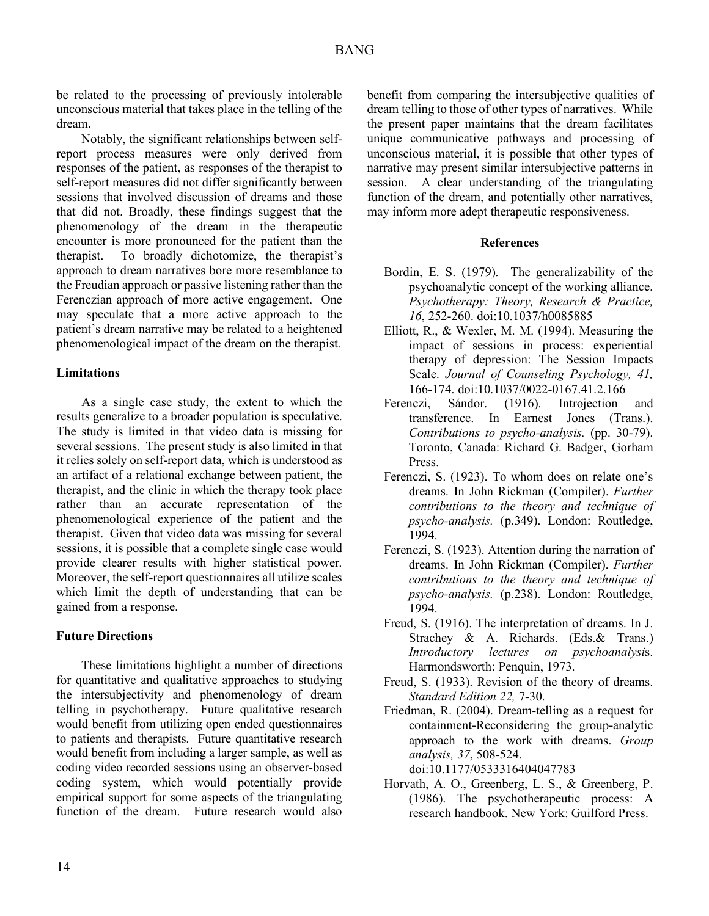be related to the processing of previously intolerable unconscious material that takes place in the telling of the dream.

Notably, the significant relationships between selfreport process measures were only derived from responses of the patient, as responses of the therapist to self-report measures did not differ significantly between sessions that involved discussion of dreams and those that did not. Broadly, these findings suggest that the phenomenology of the dream in the therapeutic encounter is more pronounced for the patient than the therapist. To broadly dichotomize, the therapist's approach to dream narratives bore more resemblance to the Freudian approach or passive listening rather than the Ferenczian approach of more active engagement. One may speculate that a more active approach to the patient's dream narrative may be related to a heightened phenomenological impact of the dream on the therapist.

## **Limitations**

As a single case study, the extent to which the results generalize to a broader population is speculative. The study is limited in that video data is missing for several sessions. The present study is also limited in that it relies solely on self-report data, which is understood as an artifact of a relational exchange between patient, the therapist, and the clinic in which the therapy took place rather than an accurate representation of the phenomenological experience of the patient and the therapist. Given that video data was missing for several sessions, it is possible that a complete single case would provide clearer results with higher statistical power. Moreover, the self-report questionnaires all utilize scales which limit the depth of understanding that can be gained from a response.

# **Future Directions**

These limitations highlight a number of directions for quantitative and qualitative approaches to studying the intersubjectivity and phenomenology of dream telling in psychotherapy. Future qualitative research would benefit from utilizing open ended questionnaires to patients and therapists. Future quantitative research would benefit from including a larger sample, as well as coding video recorded sessions using an observer-based coding system, which would potentially provide empirical support for some aspects of the triangulating function of the dream. Future research would also benefit from comparing the intersubjective qualities of dream telling to those of other types of narratives. While the present paper maintains that the dream facilitates unique communicative pathways and processing of unconscious material, it is possible that other types of narrative may present similar intersubjective patterns in session. A clear understanding of the triangulating function of the dream, and potentially other narratives, may inform more adept therapeutic responsiveness.

## **References**

- Bordin, E. S. (1979). The generalizability of the psychoanalytic concept of the working alliance. *Psychotherapy: Theory, Research & Practice, 16*, 252-260. doi:10.1037/h0085885
- Elliott, R., & Wexler, M. M. (1994). Measuring the impact of sessions in process: experiential therapy of depression: The Session Impacts Scale. *Journal of Counseling Psychology, 41,*  166-174. doi:10.1037/0022-0167.41.2.166
- Ferenczi, Sándor. (1916). Introjection and transference. In Earnest Jones (Trans.). *Contributions to psycho-analysis.* (pp. 30-79). Toronto, Canada: Richard G. Badger, Gorham Press.
- Ferenczi, S. (1923). To whom does on relate one's dreams. In John Rickman (Compiler). *Further contributions to the theory and technique of psycho-analysis.* (p.349). London: Routledge, 1994.
- Ferenczi, S. (1923). Attention during the narration of dreams. In John Rickman (Compiler). *Further contributions to the theory and technique of psycho-analysis.* (p.238). London: Routledge, 1994.
- Freud, S. (1916). The interpretation of dreams. In J. Strachey & A. Richards. (Eds.& Trans.) *Introductory lectures on psychoanalysi*s. Harmondsworth: Penquin, 1973.
- Freud, S. (1933). Revision of the theory of dreams. *Standard Edition 22,* 7-30.
- Friedman, R. (2004). Dream-telling as a request for containment-Reconsidering the group-analytic approach to the work with dreams. *Group analysis, 37*, 508-524. doi:10.1177/0533316404047783
- Horvath, A. O., Greenberg, L. S., & Greenberg, P. (1986). The psychotherapeutic process: A research handbook. New York: Guilford Press.